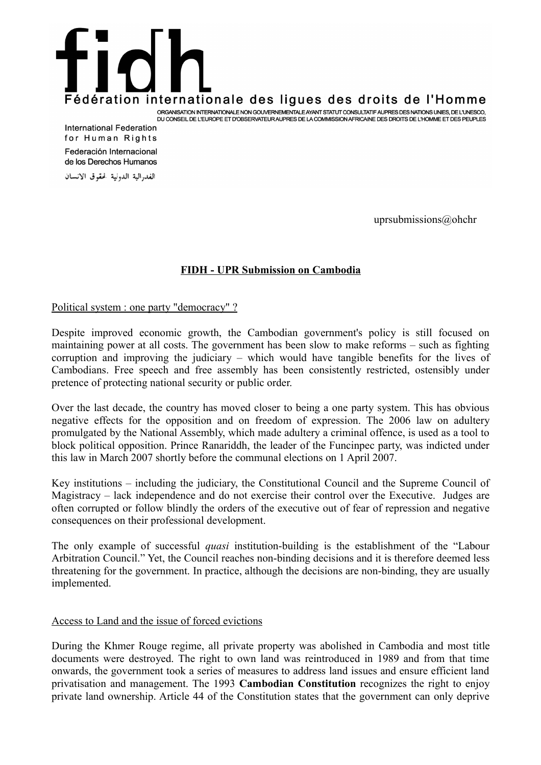# Fédération internationale des ligues des droits de l'Homme ORGANISATION INTERNATIONALE NON GOUVERNEMENTALE AYANT STATUT CONSULTATIF AUPRES DES NATIONS UNIES, DE L'UNESCO, DU CONSEIL DE L'EUROPE ET D'OBSERVATEUR AUPRES DE LA COMMISSION AFRICAINE DES DROITS DE L'HOMME ET DES PEUPLES

**International Federation** for Human Rights Federación Internacional de los Derechos Humanos

الفدرالية الدولية لحقوق الانسان

uprsubmissions@ohchr

## **FIDH - UPR Submission on Cambodia**

#### Political system : one party "democracy" ?

Despite improved economic growth, the Cambodian government's policy is still focused on maintaining power at all costs. The government has been slow to make reforms – such as fighting corruption and improving the judiciary – which would have tangible benefits for the lives of Cambodians. Free speech and free assembly has been consistently restricted, ostensibly under pretence of protecting national security or public order.

Over the last decade, the country has moved closer to being a one party system. This has obvious negative effects for the opposition and on freedom of expression. The 2006 law on adultery promulgated by the National Assembly, which made adultery a criminal offence, is used as a tool to block political opposition. Prince Ranariddh, the leader of the Funcinpec party, was indicted under this law in March 2007 shortly before the communal elections on 1 April 2007.

Key institutions – including the judiciary, the Constitutional Council and the Supreme Council of Magistracy – lack independence and do not exercise their control over the Executive. Judges are often corrupted or follow blindly the orders of the executive out of fear of repression and negative consequences on their professional development.

The only example of successful *quasi* institution-building is the establishment of the "Labour Arbitration Council." Yet, the Council reaches non-binding decisions and it is therefore deemed less threatening for the government. In practice, although the decisions are non-binding, they are usually implemented.

#### Access to Land and the issue of forced evictions

During the Khmer Rouge regime, all private property was abolished in Cambodia and most title documents were destroyed. The right to own land was reintroduced in 1989 and from that time onwards, the government took a series of measures to address land issues and ensure efficient land privatisation and management. The 1993 **Cambodian Constitution** recognizes the right to enjoy private land ownership. Article 44 of the Constitution states that the government can only deprive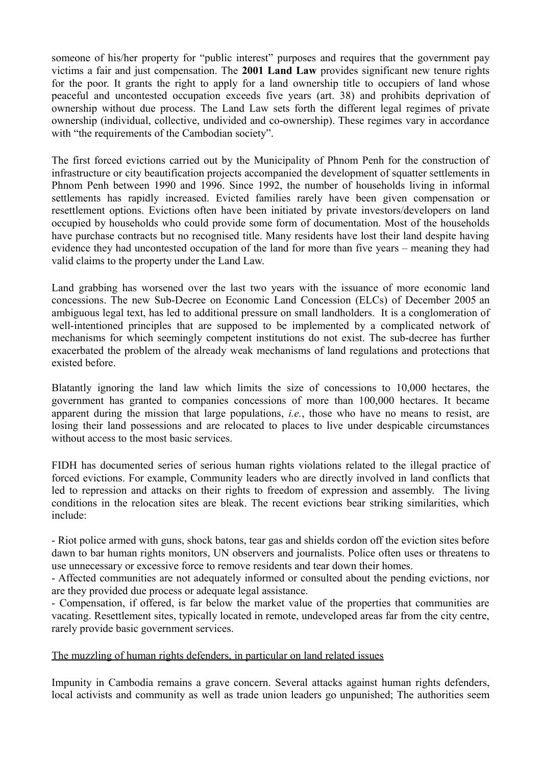someone of his/her property for "public interest" purposes and requires that the government pay victims a fair and just compensation. The **2001 Land Law** provides significant new tenure rights for the poor. It grants the right to apply for a land ownership title to occupiers of land whose peaceful and uncontested occupation exceeds five years (art. 38) and prohibits deprivation of ownership without due process. The Land Law sets forth the different legal regimes of private ownership (individual, collective, undivided and co-ownership). These regimes vary in accordance with "the requirements of the Cambodian society".

The first forced evictions carried out by the Municipality of Phnom Penh for the construction of infrastructure or city beautification projects accompanied the development of squatter settlements in Phnom Penh between 1990 and 1996. Since 1992, the number of households living in informal settlements has rapidly increased. Evicted families rarely have been given compensation or resettlement options. Evictions often have been initiated by private investors/developers on land occupied by households who could provide some form of documentation. Most of the households have purchase contracts but no recognised title. Many residents have lost their land despite having evidence they had uncontested occupation of the land for more than five years – meaning they had valid claims to the property under the Land Law.

Land grabbing has worsened over the last two years with the issuance of more economic land concessions. The new Sub-Decree on Economic Land Concession (ELCs) of December 2005 an ambiguous legal text, has led to additional pressure on small landholders. It is a conglomeration of well-intentioned principles that are supposed to be implemented by a complicated network of mechanisms for which seemingly competent institutions do not exist. The sub-decree has further exacerbated the problem of the already weak mechanisms of land regulations and protections that existed before.

Blatantly ignoring the land law which limits the size of concessions to 10,000 hectares, the government has granted to companies concessions of more than 100,000 hectares. It became apparent during the mission that large populations, *i.e.*, those who have no means to resist, are losing their land possessions and are relocated to places to live under despicable circumstances without access to the most basic services.

FIDH has documented series of serious human rights violations related to the illegal practice of forced evictions. For example, Community leaders who are directly involved in land conflicts that led to repression and attacks on their rights to freedom of expression and assembly. The living conditions in the relocation sites are bleak. The recent evictions bear striking similarities, which include:

- Riot police armed with guns, shock batons, tear gas and shields cordon off the eviction sites before dawn to bar human rights monitors, UN observers and journalists. Police often uses or threatens to use unnecessary or excessive force to remove residents and tear down their homes.

- Affected communities are not adequately informed or consulted about the pending evictions, nor are they provided due process or adequate legal assistance.

- Compensation, if offered, is far below the market value of the properties that communities are vacating. Resettlement sites, typically located in remote, undeveloped areas far from the city centre, rarely provide basic government services.

# The muzzling of human rights defenders, in particular on land related issues

Impunity in Cambodia remains a grave concern. Several attacks against human rights defenders, local activists and community as well as trade union leaders go unpunished; The authorities seem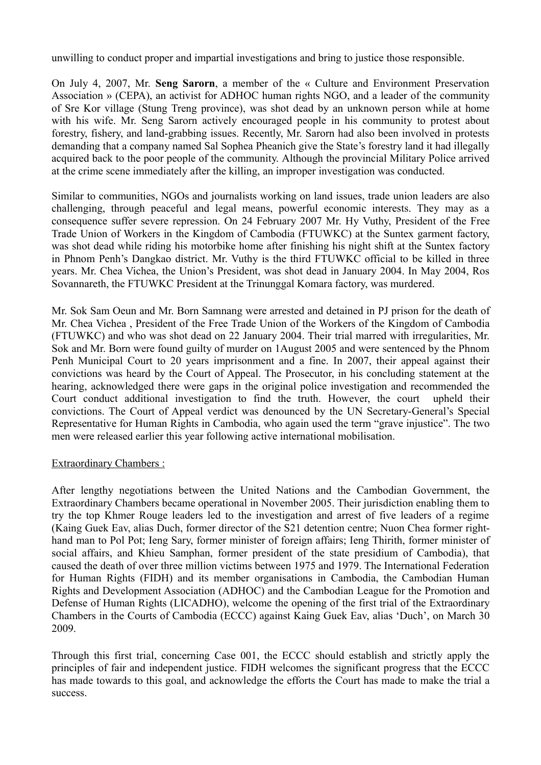unwilling to conduct proper and impartial investigations and bring to justice those responsible.

On July 4, 2007, Mr. **Seng Sarorn**, a member of the « Culture and Environment Preservation Association » (CEPA), an activist for ADHOC human rights NGO, and a leader of the community of Sre Kor village (Stung Treng province), was shot dead by an unknown person while at home with his wife. Mr. Seng Sarorn actively encouraged people in his community to protest about forestry, fishery, and land-grabbing issues. Recently, Mr. Sarorn had also been involved in protests demanding that a company named Sal Sophea Pheanich give the State's forestry land it had illegally acquired back to the poor people of the community. Although the provincial Military Police arrived at the crime scene immediately after the killing, an improper investigation was conducted.

Similar to communities, NGOs and journalists working on land issues, trade union leaders are also challenging, through peaceful and legal means, powerful economic interests. They may as a consequence suffer severe repression. On 24 February 2007 Mr. Hy Vuthy, President of the Free Trade Union of Workers in the Kingdom of Cambodia (FTUWKC) at the Suntex garment factory, was shot dead while riding his motorbike home after finishing his night shift at the Suntex factory in Phnom Penh's Dangkao district. Mr. Vuthy is the third FTUWKC official to be killed in three years. Mr. Chea Vichea, the Union's President, was shot dead in January 2004. In May 2004, Ros Sovannareth, the FTUWKC President at the Trinunggal Komara factory, was murdered.

Mr. Sok Sam Oeun and Mr. Born Samnang were arrested and detained in PJ prison for the death of Mr. Chea Vichea , President of the Free Trade Union of the Workers of the Kingdom of Cambodia (FTUWKC) and who was shot dead on 22 January 2004. Their trial marred with irregularities, Mr. Sok and Mr. Born were found guilty of murder on 1August 2005 and were sentenced by the Phnom Penh Municipal Court to 20 years imprisonment and a fine. In 2007, their appeal against their convictions was heard by the Court of Appeal. The Prosecutor, in his concluding statement at the hearing, acknowledged there were gaps in the original police investigation and recommended the Court conduct additional investigation to find the truth. However, the court upheld their convictions. The Court of Appeal verdict was denounced by the UN Secretary-General's Special Representative for Human Rights in Cambodia, who again used the term "grave injustice". The two men were released earlier this year following active international mobilisation.

#### Extraordinary Chambers :

After lengthy negotiations between the United Nations and the Cambodian Government, the Extraordinary Chambers became operational in November 2005. Their jurisdiction enabling them to try the top Khmer Rouge leaders led to the investigation and arrest of five leaders of a regime (Kaing Guek Eav, alias Duch, former director of the S21 detention centre; Nuon Chea former righthand man to Pol Pot; Ieng Sary, former minister of foreign affairs; Ieng Thirith, former minister of social affairs, and Khieu Samphan, former president of the state presidium of Cambodia), that caused the death of over three million victims between 1975 and 1979. The International Federation for Human Rights (FIDH) and its member organisations in Cambodia, the Cambodian Human Rights and Development Association (ADHOC) and the Cambodian League for the Promotion and Defense of Human Rights (LICADHO), welcome the opening of the first trial of the Extraordinary Chambers in the Courts of Cambodia (ECCC) against Kaing Guek Eav, alias 'Duch', on March 30 2009.

Through this first trial, concerning Case 001, the ECCC should establish and strictly apply the principles of fair and independent justice. FIDH welcomes the significant progress that the ECCC has made towards to this goal, and acknowledge the efforts the Court has made to make the trial a success.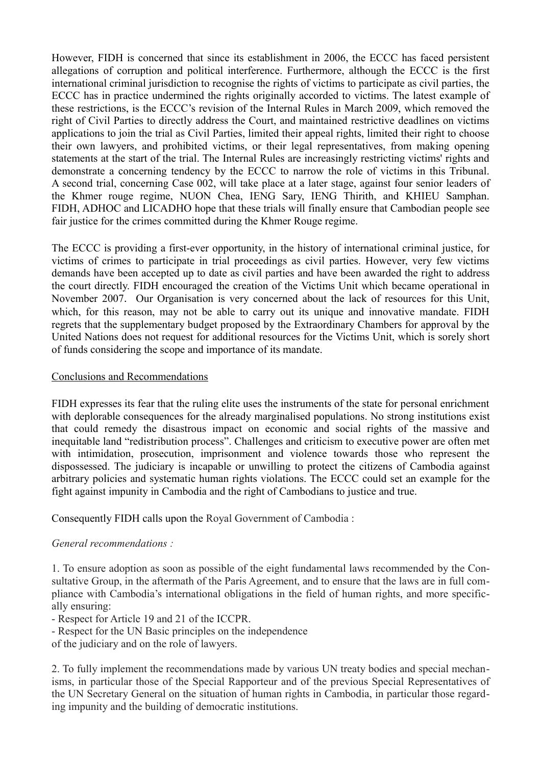However, FIDH is concerned that since its establishment in 2006, the ECCC has faced persistent allegations of corruption and political interference. Furthermore, although the ECCC is the first international criminal jurisdiction to recognise the rights of victims to participate as civil parties, the ECCC has in practice undermined the rights originally accorded to victims. The latest example of these restrictions, is the ECCC's revision of the Internal Rules in March 2009, which removed the right of Civil Parties to directly address the Court, and maintained restrictive deadlines on victims applications to join the trial as Civil Parties, limited their appeal rights, limited their right to choose their own lawyers, and prohibited victims, or their legal representatives, from making opening statements at the start of the trial. The Internal Rules are increasingly restricting victims' rights and demonstrate a concerning tendency by the ECCC to narrow the role of victims in this Tribunal. A second trial, concerning Case 002, will take place at a later stage, against four senior leaders of the Khmer rouge regime, NUON Chea, IENG Sary, IENG Thirith, and KHIEU Samphan. FIDH, ADHOC and LICADHO hope that these trials will finally ensure that Cambodian people see fair justice for the crimes committed during the Khmer Rouge regime.

The ECCC is providing a first-ever opportunity, in the history of international criminal justice, for victims of crimes to participate in trial proceedings as civil parties. However, very few victims demands have been accepted up to date as civil parties and have been awarded the right to address the court directly. FIDH encouraged the creation of the Victims Unit which became operational in November 2007. Our Organisation is very concerned about the lack of resources for this Unit, which, for this reason, may not be able to carry out its unique and innovative mandate. FIDH regrets that the supplementary budget proposed by the Extraordinary Chambers for approval by the United Nations does not request for additional resources for the Victims Unit, which is sorely short of funds considering the scope and importance of its mandate.

## Conclusions and Recommendations

FIDH expresses its fear that the ruling elite uses the instruments of the state for personal enrichment with deplorable consequences for the already marginalised populations. No strong institutions exist that could remedy the disastrous impact on economic and social rights of the massive and inequitable land "redistribution process". Challenges and criticism to executive power are often met with intimidation, prosecution, imprisonment and violence towards those who represent the dispossessed. The judiciary is incapable or unwilling to protect the citizens of Cambodia against arbitrary policies and systematic human rights violations. The ECCC could set an example for the fight against impunity in Cambodia and the right of Cambodians to justice and true.

Consequently FIDH calls upon the Royal Government of Cambodia :

# *General recommendations :*

1. To ensure adoption as soon as possible of the eight fundamental laws recommended by the Consultative Group, in the aftermath of the Paris Agreement, and to ensure that the laws are in full compliance with Cambodia's international obligations in the field of human rights, and more specifically ensuring:

- Respect for Article 19 and 21 of the ICCPR.

- Respect for the UN Basic principles on the independence

of the judiciary and on the role of lawyers.

2. To fully implement the recommendations made by various UN treaty bodies and special mechanisms, in particular those of the Special Rapporteur and of the previous Special Representatives of the UN Secretary General on the situation of human rights in Cambodia, in particular those regarding impunity and the building of democratic institutions.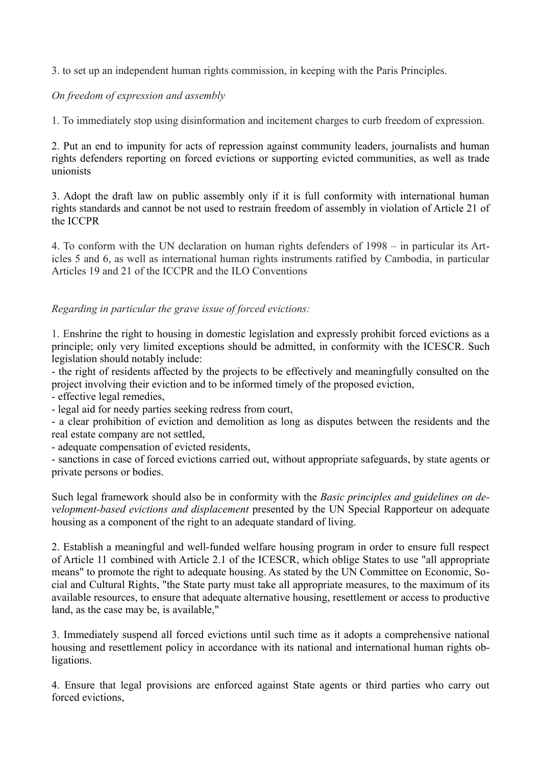3. to set up an independent human rights commission, in keeping with the Paris Principles.

# *On freedom of expression and assembly*

1. To immediately stop using disinformation and incitement charges to curb freedom of expression.

2. Put an end to impunity for acts of repression against community leaders, journalists and human rights defenders reporting on forced evictions or supporting evicted communities, as well as trade unionists

3. Adopt the draft law on public assembly only if it is full conformity with international human rights standards and cannot be not used to restrain freedom of assembly in violation of Article 21 of the ICCPR

4. To conform with the UN declaration on human rights defenders of 1998 – in particular its Articles 5 and 6, as well as international human rights instruments ratified by Cambodia, in particular Articles 19 and 21 of the ICCPR and the ILO Conventions

## *Regarding in particular the grave issue of forced evictions:*

1. Enshrine the right to housing in domestic legislation and expressly prohibit forced evictions as a principle; only very limited exceptions should be admitted, in conformity with the ICESCR. Such legislation should notably include:

- the right of residents affected by the projects to be effectively and meaningfully consulted on the project involving their eviction and to be informed timely of the proposed eviction,

- effective legal remedies,

- legal aid for needy parties seeking redress from court,

- a clear prohibition of eviction and demolition as long as disputes between the residents and the real estate company are not settled,

- adequate compensation of evicted residents,

- sanctions in case of forced evictions carried out, without appropriate safeguards, by state agents or private persons or bodies.

Such legal framework should also be in conformity with the *Basic principles and guidelines on development-based evictions and displacement* presented by the UN Special Rapporteur on adequate housing as a component of the right to an adequate standard of living.

2. Establish a meaningful and well-funded welfare housing program in order to ensure full respect of Article 11 combined with Article 2.1 of the ICESCR, which oblige States to use "all appropriate means" to promote the right to adequate housing. As stated by the UN Committee on Economic, Social and Cultural Rights, "the State party must take all appropriate measures, to the maximum of its available resources, to ensure that adequate alternative housing, resettlement or access to productive land, as the case may be, is available,"

3. Immediately suspend all forced evictions until such time as it adopts a comprehensive national housing and resettlement policy in accordance with its national and international human rights obligations.

4. Ensure that legal provisions are enforced against State agents or third parties who carry out forced evictions,